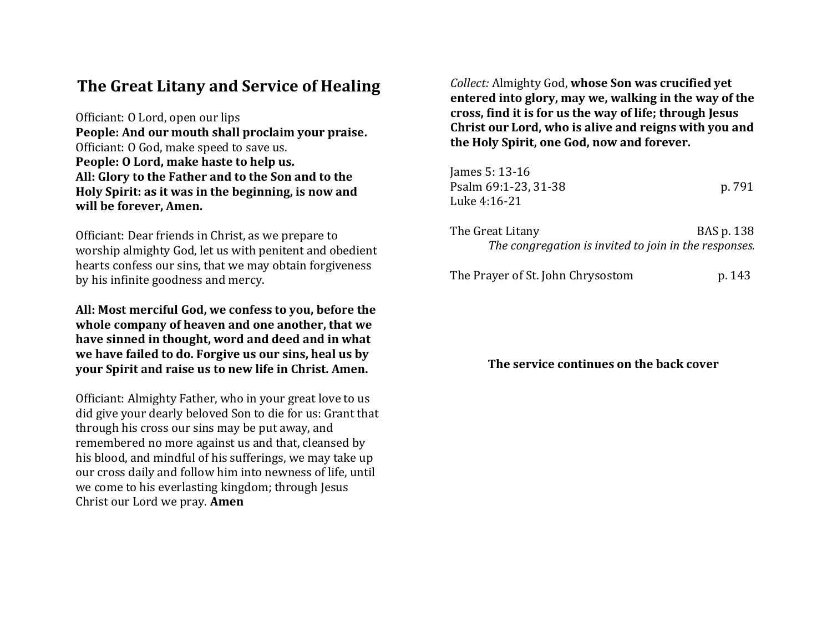# **The Great Litany and Service of Healing**

Officiant: O Lord, open our lips **People: And our mouth shall proclaim your praise.** Officiant: O God, make speed to save us. **People: O Lord, make haste to help us. All: Glory to the Father and to the Son and to the Holy Spirit: as it was in the beginning, is now and will be forever, Amen.**

Officiant: Dear friends in Christ, as we prepare to worship almighty God, let us with penitent and obedient hearts confess our sins, that we may obtain forgiveness by his infinite goodness and mercy.

**All: Most merciful God, we confess to you, before the whole company of heaven and one another, that we have sinned in thought, word and deed and in what we have failed to do. Forgive us our sins, heal us by your Spirit and raise us to new life in Christ. Amen.**

Officiant: Almighty Father, who in your great love to us did give your dearly beloved Son to die for us: Grant that through his cross our sins may be put away, and remembered no more against us and that, cleansed by his blood, and mindful of his sufferings, we may take up our cross daily and follow him into newness of life, until we come to his everlasting kingdom; through Jesus Christ our Lord we pray. **Amen**

*Collect:* Almighty God, **whose Son was crucified yet entered into glory, may we, walking in the way of the cross, find it is for us the way of life; through Jesus Christ our Lord, who is alive and reigns with you and the Holy Spirit, one God, now and forever.**

| James 5: 13-16<br>Psalm 69:1-23, 31-38<br>Luke 4:16-21                    | p. 791     |
|---------------------------------------------------------------------------|------------|
| The Great Litany<br>The congregation is invited to join in the responses. | BAS p. 138 |
| The Prayer of St. John Chrysostom                                         | p. 143     |

**The service continues on the back cover**